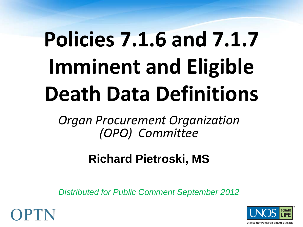# **Policies 7.1.6 and 7.1.7 Imminent and Eligible Death Data Definitions**

*Organ Procurement Organization (OPO) Committee*

#### **Richard Pietroski, MS**

*Distributed for Public Comment September 2012*



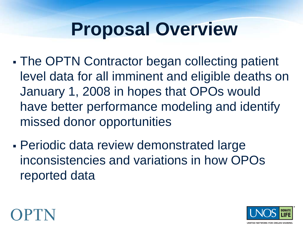## **Proposal Overview**

- The OPTN Contractor began collecting patient level data for all imminent and eligible deaths on January 1, 2008 in hopes that OPOs would have better performance modeling and identify missed donor opportunities
- Periodic data review demonstrated large inconsistencies and variations in how OPOs reported data



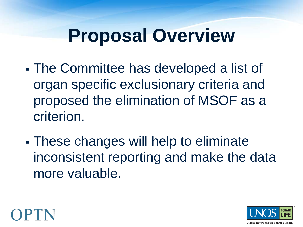## **Proposal Overview**

- The Committee has developed a list of organ specific exclusionary criteria and proposed the elimination of MSOF as a criterion.
- These changes will help to eliminate inconsistent reporting and make the data more valuable.



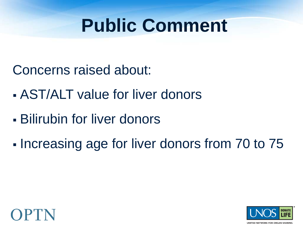## **Public Comment**

Concerns raised about:

- AST/ALT value for liver donors
- Bilirubin for liver donors
- Increasing age for liver donors from 70 to 75



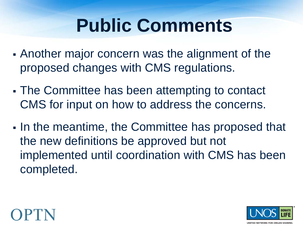## **Public Comments**

- Another major concern was the alignment of the proposed changes with CMS regulations.
- The Committee has been attempting to contact CMS for input on how to address the concerns.
- In the meantime, the Committee has proposed that the new definitions be approved but not implemented until coordination with CMS has been completed.



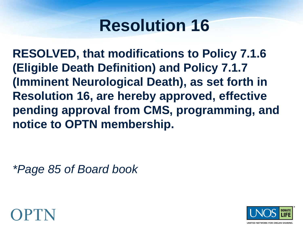#### **Resolution 16**

**RESOLVED, that modifications to Policy 7.1.6 (Eligible Death Definition) and Policy 7.1.7 (Imminent Neurological Death), as set forth in Resolution 16, are hereby approved, effective pending approval from CMS, programming, and notice to OPTN membership.**

*\*Page 85 of Board book*



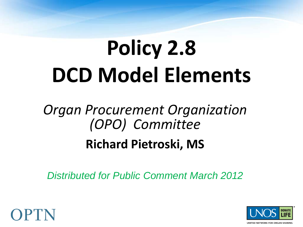# **Policy 2.8 DCD Model Elements**

## *Organ Procurement Organization (OPO) Committee*

#### **Richard Pietroski, MS**

*Distributed for Public Comment March 2012*



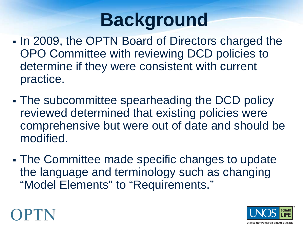## **Background**

- In 2009, the OPTN Board of Directors charged the OPO Committee with reviewing DCD policies to determine if they were consistent with current practice.
- The subcommittee spearheading the DCD policy reviewed determined that existing policies were comprehensive but were out of date and should be modified.
- The Committee made specific changes to update the language and terminology such as changing "Model Elements" to "Requirements."



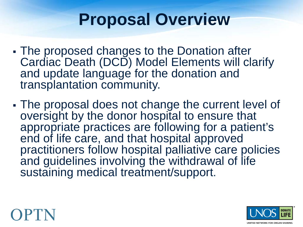#### **Proposal Overview**

- The proposed changes to the Donation after Cardiac Death (DCD) Model Elements will clarify and update language for the donation and transplantation community.
- The proposal does not change the current level of oversight by the donor hospital to ensure that appropriate practices are following for a patient's end of life care, and that hospital approved practitioners follow hospital palliative care policies and guidelines involving the withdrawal of life sustaining medical treatment/support.



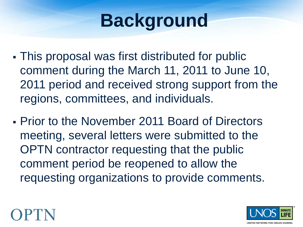## **Background**

- This proposal was first distributed for public comment during the March 11, 2011 to June 10, 2011 period and received strong support from the regions, committees, and individuals.
- Prior to the November 2011 Board of Directors meeting, several letters were submitted to the OPTN contractor requesting that the public comment period be reopened to allow the requesting organizations to provide comments.



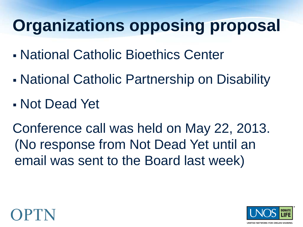#### **Organizations opposing proposal**

- National Catholic Bioethics Center
- National Catholic Partnership on Disability
- Not Dead Yet

Conference call was held on May 22, 2013. (No response from Not Dead Yet until an email was sent to the Board last week)



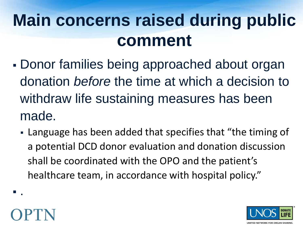## **Main concerns raised during public comment**

- Donor families being approached about organ donation *before* the time at which a decision to withdraw life sustaining measures has been made.
	- Language has been added that specifies that "the timing of a potential DCD donor evaluation and donation discussion shall be coordinated with the OPO and the patient's healthcare team, in accordance with hospital policy."



.

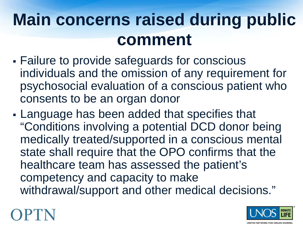## **Main concerns raised during public comment**

- Failure to provide safeguards for conscious individuals and the omission of any requirement for psychosocial evaluation of a conscious patient who consents to be an organ donor
- Language has been added that specifies that "Conditions involving a potential DCD donor being medically treated/supported in a conscious mental state shall require that the OPO confirms that the healthcare team has assessed the patient's competency and capacity to make withdrawal/support and other medical decisions."



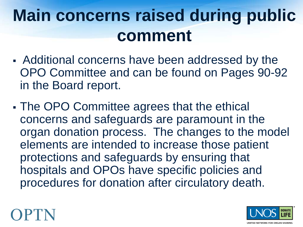## **Main concerns raised during public comment**

- Additional concerns have been addressed by the OPO Committee and can be found on Pages 90-92 in the Board report.
- The OPO Committee agrees that the ethical concerns and safeguards are paramount in the organ donation process. The changes to the model elements are intended to increase those patient protections and safeguards by ensuring that hospitals and OPOs have specific policies and procedures for donation after circulatory death.



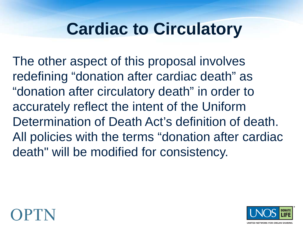#### **Cardiac to Circulatory**

The other aspect of this proposal involves redefining "donation after cardiac death" as "donation after circulatory death" in order to accurately reflect the intent of the Uniform Determination of Death Act's definition of death. All policies with the terms "donation after cardiac death" will be modified for consistency.